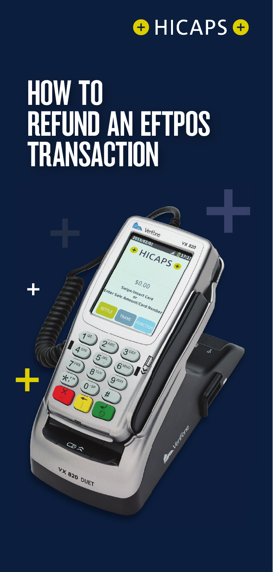

# HOW TO REFUND AN EFTPOS TRANSACTION

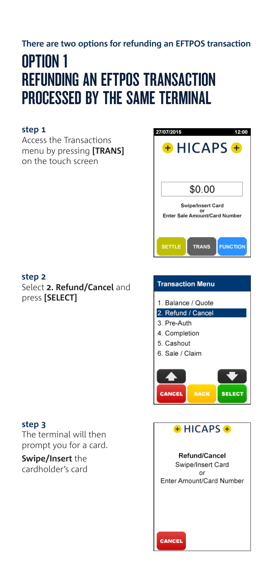# **There are two options for refunding an EFTPOS transaction**

# OPTION 1 REFUNDING AN EFTPOS TRANSACTION PROCESSED BY THE SAME TERMINAL

## **step 1**

Access the Transactions menu by pressing **[TRANS]**  on the touch screen



#### **step 3**

The terminal will then prompt you for a card.

**Swipe/Insert** the cardholder's card



| <b>Transaction Menu</b>                                              |
|----------------------------------------------------------------------|
| 1. Balance / Quote<br>2. Refund / Cancel                             |
| 3. Pre-Auth<br>4. Completion<br>5. Cashout<br>6. Sale / Claim        |
| <b>SELECT</b><br><b>CANCEL</b><br><b>BACK</b>                        |
| $+$ HICAPS $+$                                                       |
| Refund/Cancel<br>Swipe/Insert Card<br>or<br>Enter Amount/Card Number |

CANCEL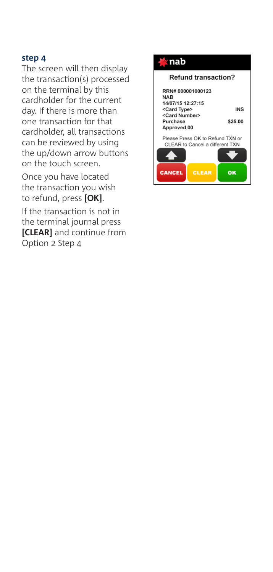The screen will then display the transaction(s) processed on the terminal by this cardholder for the current day. If there is more than one transaction for that cardholder, all transactions can be reviewed by using the up/down arrow buttons on the touch screen.

Once you have located the transaction you wish to refund, press **[OK]**.

If the transaction is not in the terminal journal press **[CLEAR]** and continue from Option 2 Step 4



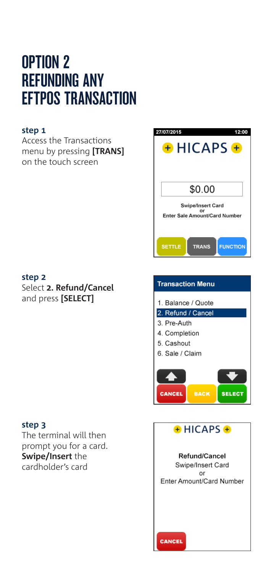# OPTION 2 REFUNDING ANY EFTPOS TRANSACTION

### **step 1**

Access the Transactions menu by pressing **[TRANS]**  on the touch screen

#### **step 2**

Select **2. Refund/Cancel** and press **[SELECT]**

#### **step 3**

The terminal will then prompt you for a card. **Swipe/Insert** the cardholder's card



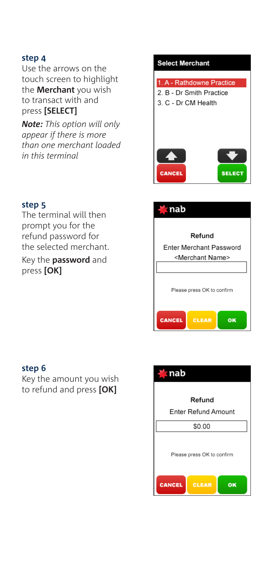Use the arrows on the touch screen to highlight the **Merchant** you wish to transact with and press **[SELECT]**

*Note: This option will only appear if there is more than one merchant loaded in this terminal*

#### **step 5**

The terminal will then prompt you for the refund password for the selected merchant.

Key the **password** and press **[OK]**

#### **step 6**

Key the amount you wish to refund and press **[OK]**



| nab                                 |
|-------------------------------------|
| Refund                              |
| <b>Enter Merchant Password</b>      |
| <merchant name=""></merchant>       |
|                                     |
| Please press OK to confirm          |
| <b>CANCEL</b><br><b>CLEAR</b><br>OK |

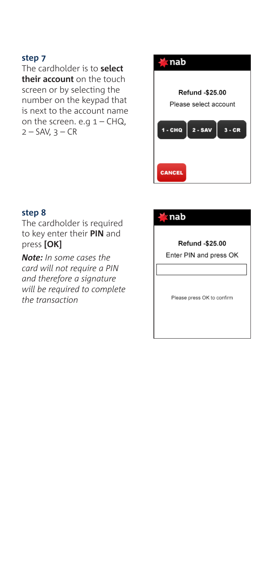The cardholder is to **select their account** on the touch screen or by selecting the number on the keypad that is next to the account name on the screen. e.g  $1 - CHQ$ ,  $2 - SAV, 3 - CR$ 



## **step 8**

The cardholder is required to key enter their **PIN** and press **[OK]**

*Note: In some cases the card will not require a PIN and therefore a signature will be required to complete the transaction*

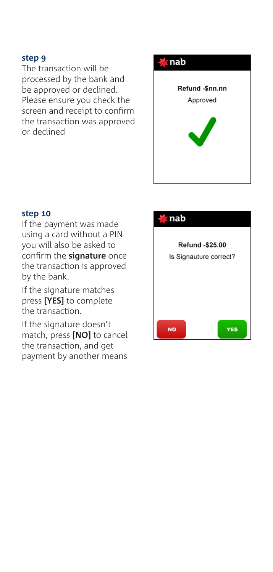The transaction will be processed by the bank and be approved or declined. Please ensure you check the screen and receipt to confirm the transaction was approved or declined



#### **step 10**

If the payment was made using a card without a PIN you will also be asked to confirm the **signature** once the transaction is approved by the bank.

If the signature matches press **[YES]** to complete the transaction.

If the signature doesn't match, press **[NO]** to cancel the transaction, and get payment by another means